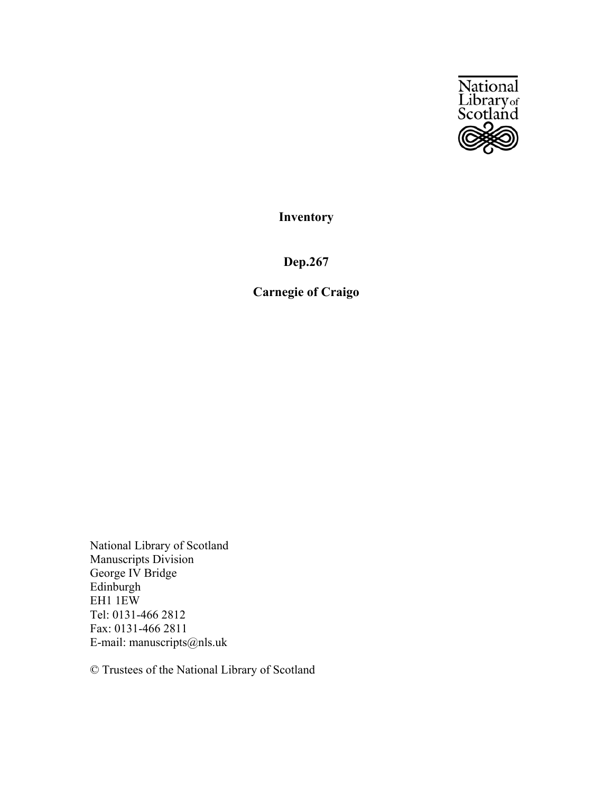

**Inventory**

**Dep.267**

**Carnegie of Craigo**

National Library of Scotland Manuscripts Division George IV Bridge Edinburgh EH1 1EW Tel: 0131-466 2812 Fax: 0131-466 2811 E-mail: manuscripts@nls.uk

© Trustees of the National Library of Scotland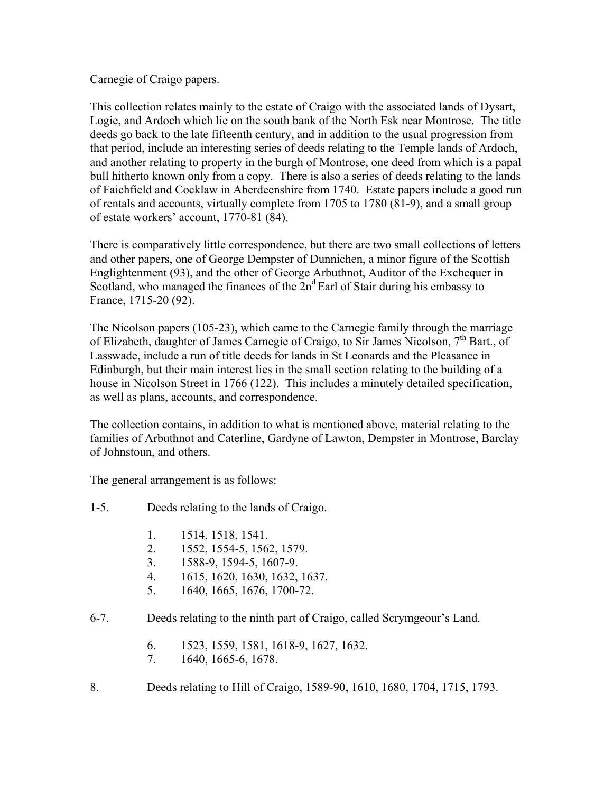Carnegie of Craigo papers.

This collection relates mainly to the estate of Craigo with the associated lands of Dysart, Logie, and Ardoch which lie on the south bank of the North Esk near Montrose. The title deeds go back to the late fifteenth century, and in addition to the usual progression from that period, include an interesting series of deeds relating to the Temple lands of Ardoch, and another relating to property in the burgh of Montrose, one deed from which is a papal bull hitherto known only from a copy. There is also a series of deeds relating to the lands of Faichfield and Cocklaw in Aberdeenshire from 1740. Estate papers include a good run of rentals and accounts, virtually complete from 1705 to 1780 (81-9), and a small group of estate workers' account, 1770-81 (84).

There is comparatively little correspondence, but there are two small collections of letters and other papers, one of George Dempster of Dunnichen, a minor figure of the Scottish Englightenment (93), and the other of George Arbuthnot, Auditor of the Exchequer in Scotland, who managed the finances of the  $2n^d$  Earl of Stair during his embassy to France, 1715-20 (92).

The Nicolson papers (105-23), which came to the Carnegie family through the marriage of Elizabeth, daughter of James Carnegie of Craigo, to Sir James Nicolson, 7<sup>th</sup> Bart., of Lasswade, include a run of title deeds for lands in St Leonards and the Pleasance in Edinburgh, but their main interest lies in the small section relating to the building of a house in Nicolson Street in 1766 (122). This includes a minutely detailed specification, as well as plans, accounts, and correspondence.

The collection contains, in addition to what is mentioned above, material relating to the families of Arbuthnot and Caterline, Gardyne of Lawton, Dempster in Montrose, Barclay of Johnstoun, and others.

The general arrangement is as follows:

- 1-5. Deeds relating to the lands of Craigo.
	- 1. 1514, 1518, 1541.
	- 2. 1552, 1554-5, 1562, 1579.
	- 3. 1588-9, 1594-5, 1607-9.
	- 4. 1615, 1620, 1630, 1632, 1637.
	- 5. 1640, 1665, 1676, 1700-72.
- 6-7. Deeds relating to the ninth part of Craigo, called Scrymgeour's Land.
	- 6. 1523, 1559, 1581, 1618-9, 1627, 1632.
	- 7. 1640, 1665-6, 1678.
- 8. Deeds relating to Hill of Craigo, 1589-90, 1610, 1680, 1704, 1715, 1793.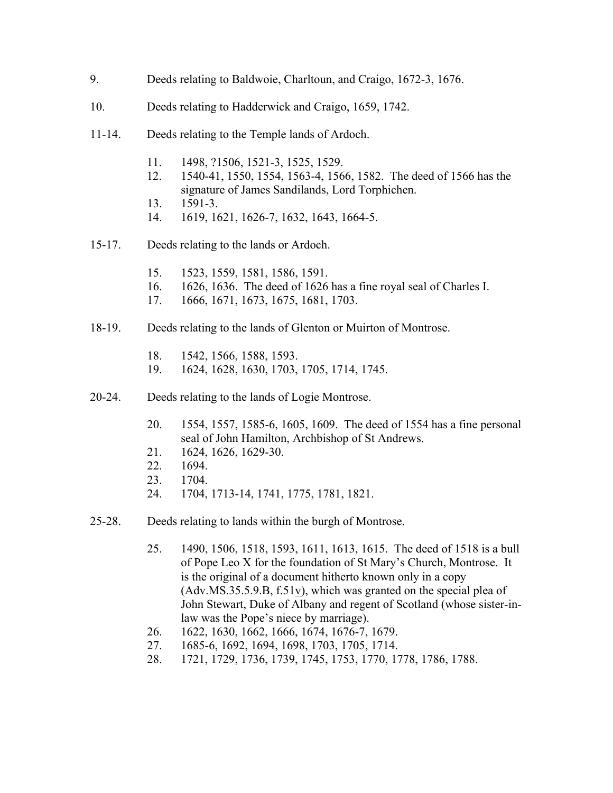- 9. Deeds relating to Baldwoie, Charltoun, and Craigo, 1672-3, 1676.
- 10. Deeds relating to Hadderwick and Craigo, 1659, 1742.
- 11-14. Deeds relating to the Temple lands of Ardoch.
	- 11. 1498, ?1506, 1521-3, 1525, 1529.
	- 12. 1540-41, 1550, 1554, 1563-4, 1566, 1582. The deed of 1566 has the signature of James Sandilands, Lord Torphichen.
	- 13. 1591-3.
	- 14. 1619, 1621, 1626-7, 1632, 1643, 1664-5.
- 15-17. Deeds relating to the lands or Ardoch.
	- 15. 1523, 1559, 1581, 1586, 1591.
	- 16. 1626, 1636. The deed of 1626 has a fine royal seal of Charles I.
	- 17. 1666, 1671, 1673, 1675, 1681, 1703.
- 18-19. Deeds relating to the lands of Glenton or Muirton of Montrose.
	- 18. 1542, 1566, 1588, 1593.
	- 19. 1624, 1628, 1630, 1703, 1705, 1714, 1745.
- 20-24. Deeds relating to the lands of Logie Montrose.
	- 20. 1554, 1557, 1585-6, 1605, 1609. The deed of 1554 has a fine personal seal of John Hamilton, Archbishop of St Andrews.
	- 21. 1624, 1626, 1629-30.
	- 22. 1694.
	- 23. 1704.
	- 24. 1704, 1713-14, 1741, 1775, 1781, 1821.
- 25-28. Deeds relating to lands within the burgh of Montrose.
	- 25. 1490, 1506, 1518, 1593, 1611, 1613, 1615. The deed of 1518 is a bull of Pope Leo X for the foundation of St Mary's Church, Montrose. It is the original of a document hitherto known only in a copy (Adv.MS.35.5.9.B, f.51v), which was granted on the special plea of John Stewart, Duke of Albany and regent of Scotland (whose sister-inlaw was the Pope's niece by marriage).
	- 26. 1622, 1630, 1662, 1666, 1674, 1676-7, 1679.
	- 27. 1685-6, 1692, 1694, 1698, 1703, 1705, 1714.
	- 28. 1721, 1729, 1736, 1739, 1745, 1753, 1770, 1778, 1786, 1788.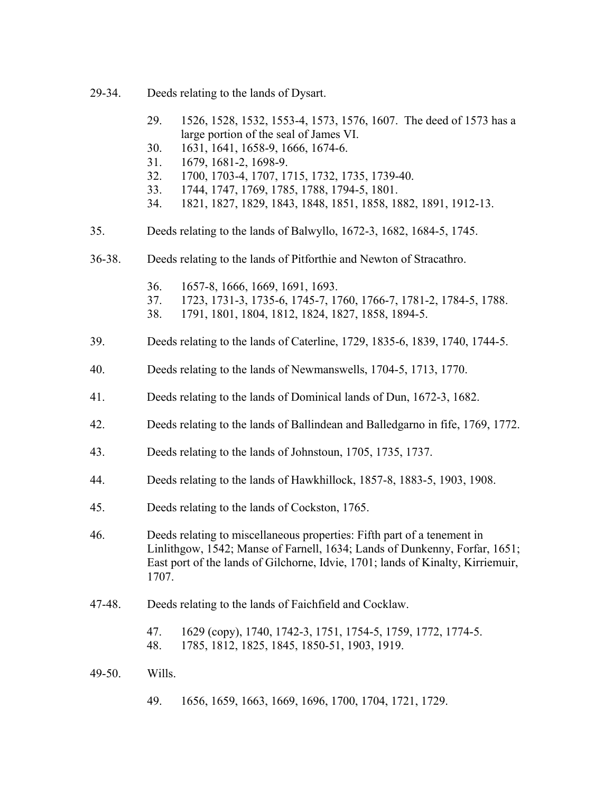- 29-34. Deeds relating to the lands of Dysart.
	- 29. 1526, 1528, 1532, 1553-4, 1573, 1576, 1607. The deed of 1573 has a large portion of the seal of James VI.
	- 30. 1631, 1641, 1658-9, 1666, 1674-6.
	- 31. 1679, 1681-2, 1698-9.
	- 32. 1700, 1703-4, 1707, 1715, 1732, 1735, 1739-40.
	- 33. 1744, 1747, 1769, 1785, 1788, 1794-5, 1801.
	- 34. 1821, 1827, 1829, 1843, 1848, 1851, 1858, 1882, 1891, 1912-13.
- 35. Deeds relating to the lands of Balwyllo, 1672-3, 1682, 1684-5, 1745.
- 36-38. Deeds relating to the lands of Pitforthie and Newton of Stracathro.
	- 36. 1657-8, 1666, 1669, 1691, 1693.
	- 37. 1723, 1731-3, 1735-6, 1745-7, 1760, 1766-7, 1781-2, 1784-5, 1788.
	- 38. 1791, 1801, 1804, 1812, 1824, 1827, 1858, 1894-5.
- 39. Deeds relating to the lands of Caterline, 1729, 1835-6, 1839, 1740, 1744-5.
- 40. Deeds relating to the lands of Newmanswells, 1704-5, 1713, 1770.
- 41. Deeds relating to the lands of Dominical lands of Dun, 1672-3, 1682.
- 42. Deeds relating to the lands of Ballindean and Balledgarno in fife, 1769, 1772.
- 43. Deeds relating to the lands of Johnstoun, 1705, 1735, 1737.
- 44. Deeds relating to the lands of Hawkhillock, 1857-8, 1883-5, 1903, 1908.
- 45. Deeds relating to the lands of Cockston, 1765.
- 46. Deeds relating to miscellaneous properties: Fifth part of a tenement in Linlithgow, 1542; Manse of Farnell, 1634; Lands of Dunkenny, Forfar, 1651; East port of the lands of Gilchorne, Idvie, 1701; lands of Kinalty, Kirriemuir, 1707.
- 47-48. Deeds relating to the lands of Faichfield and Cocklaw.
	- 47. 1629 (copy), 1740, 1742-3, 1751, 1754-5, 1759, 1772, 1774-5. 48. 1785, 1812, 1825, 1845, 1850-51, 1903, 1919.
- 49-50. Wills.
	- 49. 1656, 1659, 1663, 1669, 1696, 1700, 1704, 1721, 1729.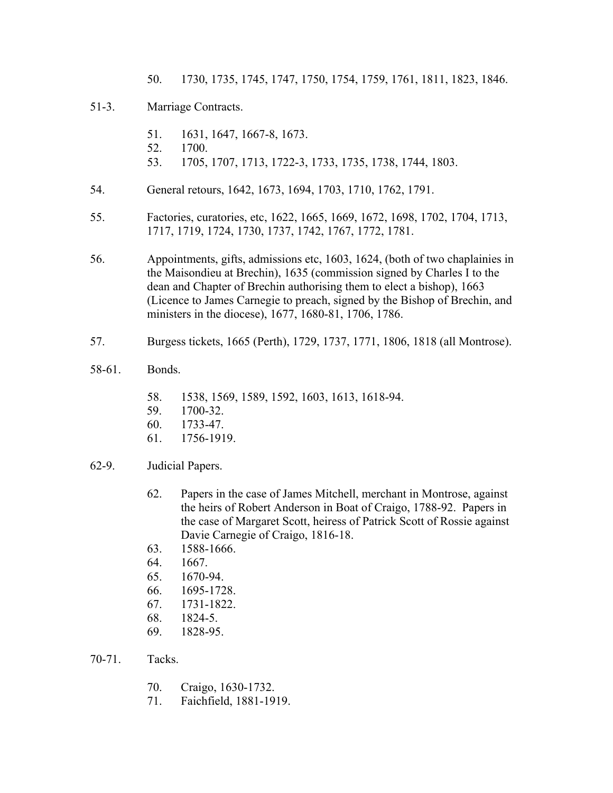50. 1730, 1735, 1745, 1747, 1750, 1754, 1759, 1761, 1811, 1823, 1846.

## 51-3. Marriage Contracts.

- 51. 1631, 1647, 1667-8, 1673.
- 52. 1700.
- 53. 1705, 1707, 1713, 1722-3, 1733, 1735, 1738, 1744, 1803.
- 54. General retours, 1642, 1673, 1694, 1703, 1710, 1762, 1791.
- 55. Factories, curatories, etc, 1622, 1665, 1669, 1672, 1698, 1702, 1704, 1713, 1717, 1719, 1724, 1730, 1737, 1742, 1767, 1772, 1781.
- 56. Appointments, gifts, admissions etc, 1603, 1624, (both of two chaplainies in the Maisondieu at Brechin), 1635 (commission signed by Charles I to the dean and Chapter of Brechin authorising them to elect a bishop), 1663 (Licence to James Carnegie to preach, signed by the Bishop of Brechin, and ministers in the diocese), 1677, 1680-81, 1706, 1786.
- 57. Burgess tickets, 1665 (Perth), 1729, 1737, 1771, 1806, 1818 (all Montrose).
- 58-61. Bonds.
	- 58. 1538, 1569, 1589, 1592, 1603, 1613, 1618-94.
	- 59. 1700-32.
	- 60. 1733-47.
	- 61. 1756-1919.
- 62-9. Judicial Papers.
	- 62. Papers in the case of James Mitchell, merchant in Montrose, against the heirs of Robert Anderson in Boat of Craigo, 1788-92. Papers in the case of Margaret Scott, heiress of Patrick Scott of Rossie against Davie Carnegie of Craigo, 1816-18.
	- 63. 1588-1666.
	- 64. 1667.
	- 65. 1670-94.
	- 66. 1695-1728.
	- 67. 1731-1822.
	- 68. 1824-5.
	- 69. 1828-95.
- 70-71. Tacks.
	- 70. Craigo, 1630-1732.
	- 71. Faichfield, 1881-1919.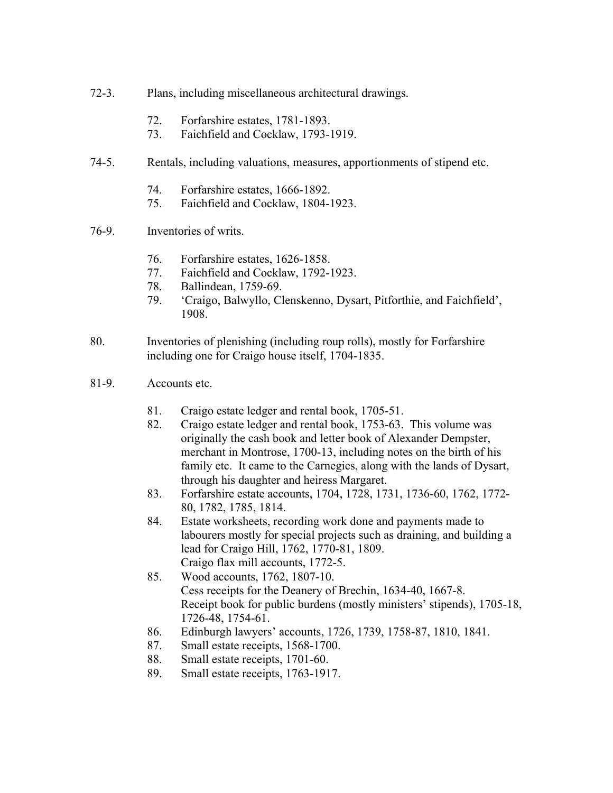- 72-3. Plans, including miscellaneous architectural drawings.
	- 72. Forfarshire estates, 1781-1893.
	- 73. Faichfield and Cocklaw, 1793-1919.
- 74-5. Rentals, including valuations, measures, apportionments of stipend etc.
	- 74. Forfarshire estates, 1666-1892.
	- 75. Faichfield and Cocklaw, 1804-1923.
- 76-9. Inventories of writs.
	- 76. Forfarshire estates, 1626-1858.
	- 77. Faichfield and Cocklaw, 1792-1923.
	- 78. Ballindean, 1759-69.
	- 79. 'Craigo, Balwyllo, Clenskenno, Dysart, Pitforthie, and Faichfield', 1908.
- 80. Inventories of plenishing (including roup rolls), mostly for Forfarshire including one for Craigo house itself, 1704-1835.
- 81-9. Accounts etc.
	- 81. Craigo estate ledger and rental book, 1705-51.
	- 82. Craigo estate ledger and rental book, 1753-63. This volume was originally the cash book and letter book of Alexander Dempster, merchant in Montrose, 1700-13, including notes on the birth of his family etc. It came to the Carnegies, along with the lands of Dysart, through his daughter and heiress Margaret.
	- 83. Forfarshire estate accounts, 1704, 1728, 1731, 1736-60, 1762, 1772- 80, 1782, 1785, 1814.
	- 84. Estate worksheets, recording work done and payments made to labourers mostly for special projects such as draining, and building a lead for Craigo Hill, 1762, 1770-81, 1809. Craigo flax mill accounts, 1772-5.
	- 85. Wood accounts, 1762, 1807-10. Cess receipts for the Deanery of Brechin, 1634-40, 1667-8. Receipt book for public burdens (mostly ministers' stipends), 1705-18, 1726-48, 1754-61.
	- 86. Edinburgh lawyers' accounts, 1726, 1739, 1758-87, 1810, 1841.
	- 87. Small estate receipts, 1568-1700.
	- 88. Small estate receipts, 1701-60.
	- 89. Small estate receipts, 1763-1917.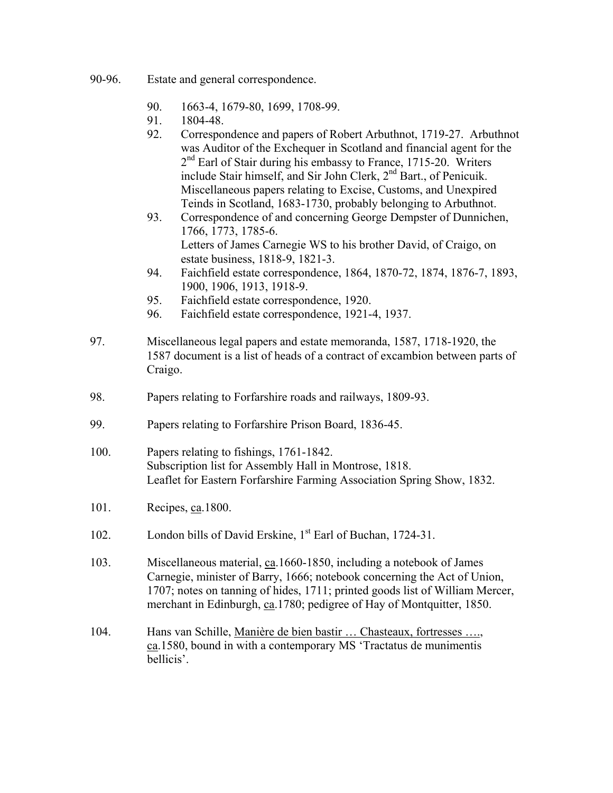- 90-96. Estate and general correspondence.
	- 90. 1663-4, 1679-80, 1699, 1708-99.
	- 91. 1804-48.
	- 92. Correspondence and papers of Robert Arbuthnot, 1719-27. Arbuthnot was Auditor of the Exchequer in Scotland and financial agent for the  $2<sup>nd</sup>$  Earl of Stair during his embassy to France, 1715-20. Writers include Stair himself, and Sir John Clerk, 2nd Bart., of Penicuik. Miscellaneous papers relating to Excise, Customs, and Unexpired Teinds in Scotland, 1683-1730, probably belonging to Arbuthnot.
	- 93. Correspondence of and concerning George Dempster of Dunnichen, 1766, 1773, 1785-6. Letters of James Carnegie WS to his brother David, of Craigo, on estate business, 1818-9, 1821-3.
	- 94. Faichfield estate correspondence, 1864, 1870-72, 1874, 1876-7, 1893, 1900, 1906, 1913, 1918-9.
	- 95. Faichfield estate correspondence, 1920.
	- 96. Faichfield estate correspondence, 1921-4, 1937.
- 97. Miscellaneous legal papers and estate memoranda, 1587, 1718-1920, the 1587 document is a list of heads of a contract of excambion between parts of Craigo.
- 98. Papers relating to Forfarshire roads and railways, 1809-93.
- 99. Papers relating to Forfarshire Prison Board, 1836-45.
- 100. Papers relating to fishings, 1761-1842. Subscription list for Assembly Hall in Montrose, 1818. Leaflet for Eastern Forfarshire Farming Association Spring Show, 1832.
- 101. Recipes, ca.1800.
- 102. London bills of David Erskine, 1<sup>st</sup> Earl of Buchan, 1724-31.
- 103. Miscellaneous material, ca.1660-1850, including a notebook of James Carnegie, minister of Barry, 1666; notebook concerning the Act of Union, 1707; notes on tanning of hides, 1711; printed goods list of William Mercer, merchant in Edinburgh, ca.1780; pedigree of Hay of Montquitter, 1850.
- 104. Hans van Schille, Manière de bien bastir ... Chasteaux, fortresses ...., ca.1580, bound in with a contemporary MS 'Tractatus de munimentis bellicis'.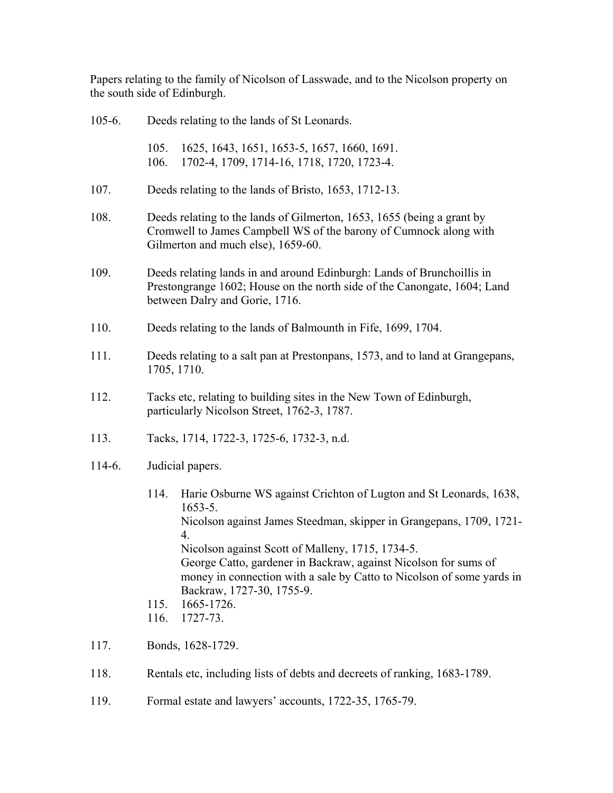Papers relating to the family of Nicolson of Lasswade, and to the Nicolson property on the south side of Edinburgh.

| $105 - 6.$ | Deeds relating to the lands of St Leonards.                                                                                                                                                                                                                                                                                                                                                                                                   |
|------------|-----------------------------------------------------------------------------------------------------------------------------------------------------------------------------------------------------------------------------------------------------------------------------------------------------------------------------------------------------------------------------------------------------------------------------------------------|
|            | 1625, 1643, 1651, 1653-5, 1657, 1660, 1691.<br>105.<br>1702-4, 1709, 1714-16, 1718, 1720, 1723-4.<br>106.                                                                                                                                                                                                                                                                                                                                     |
| 107.       | Deeds relating to the lands of Bristo, 1653, 1712-13.                                                                                                                                                                                                                                                                                                                                                                                         |
| 108.       | Deeds relating to the lands of Gilmerton, 1653, 1655 (being a grant by<br>Cromwell to James Campbell WS of the barony of Cumnock along with<br>Gilmerton and much else), 1659-60.                                                                                                                                                                                                                                                             |
| 109.       | Deeds relating lands in and around Edinburgh: Lands of Brunchoillis in<br>Prestongrange 1602; House on the north side of the Canongate, 1604; Land<br>between Dalry and Gorie, 1716.                                                                                                                                                                                                                                                          |
| 110.       | Deeds relating to the lands of Balmounth in Fife, 1699, 1704.                                                                                                                                                                                                                                                                                                                                                                                 |
| 111.       | Deeds relating to a salt pan at Prestonpans, 1573, and to land at Grangepans,<br>1705, 1710.                                                                                                                                                                                                                                                                                                                                                  |
| 112.       | Tacks etc, relating to building sites in the New Town of Edinburgh,<br>particularly Nicolson Street, 1762-3, 1787.                                                                                                                                                                                                                                                                                                                            |
| 113.       | Tacks, 1714, 1722-3, 1725-6, 1732-3, n.d.                                                                                                                                                                                                                                                                                                                                                                                                     |
| 114-6.     | Judicial papers.                                                                                                                                                                                                                                                                                                                                                                                                                              |
|            | Harie Osburne WS against Crichton of Lugton and St Leonards, 1638,<br>114.<br>$1653 - 5.$<br>Nicolson against James Steedman, skipper in Grangepans, 1709, 1721-<br>4.<br>Nicolson against Scott of Malleny, 1715, 1734-5.<br>George Catto, gardener in Backraw, against Nicolson for sums of<br>money in connection with a sale by Catto to Nicolson of some yards in<br>Backraw, 1727-30, 1755-9.<br>1665-1726.<br>115.<br>1727-73.<br>116. |
| 117.       | Bonds, 1628-1729.                                                                                                                                                                                                                                                                                                                                                                                                                             |

- 118. Rentals etc, including lists of debts and decreets of ranking, 1683-1789.
- 119. Formal estate and lawyers' accounts, 1722-35, 1765-79.